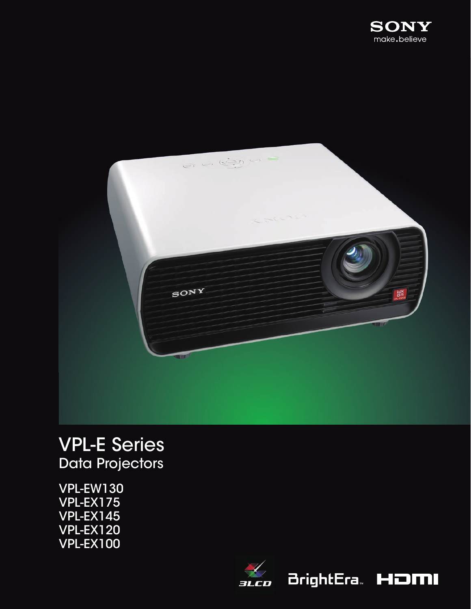



# VPL-E Series Data Projectors

VPL-EW130 VPL-EX175 VPL-EX145 VPL-EX120 VPL-EX100



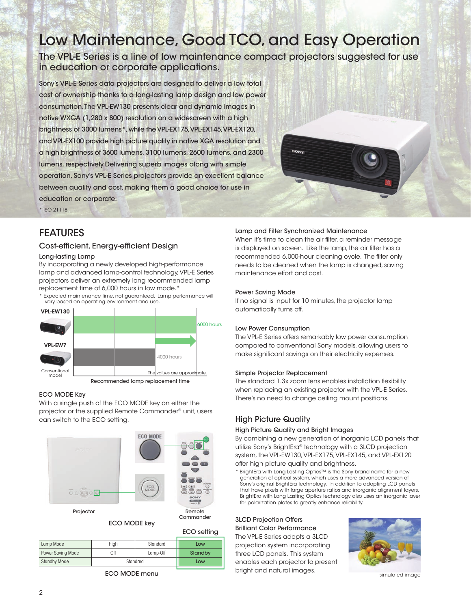# Low Maintenance, Good TCO, and Easy Operation

The VPL-E Series is a line of low maintenance compact projectors suggested for use in education or corporate applications.

Sony's VPL-E Series data projectors are designed to deliver a low total cost of ownership thanks to a long-lasting lamp design and low power consumption. The VPL-EW130 presents clear and dynamic images in native WXGA (1,280 x 800) resolution on a widescreen with a high brightness of 3000 lumens\*, while the VPL-EX175, VPL-EX145, VPL-EX120, and VPL-EX100 provide high picture quality in native XGA resolution and a high brightness of 3600 lumens, 3100 lumens, 2600 lumens, and 2300 lumens, respectively.Delivering superb images along with simple operation, Sony's VPL-E Series projectors provide an excellent balance between quality and cost, making them a good choice for use in education or corporate.



# FEATURES

\* ISO 21118

## Cost-efficient, Energy-efficient Design

#### Long-lasting Lamp

By incorporating a newly developed high-performance lamp and advanced lamp-control technology, VPL-E Series projectors deliver an extremely long recommended lamp replacement time of 6,000 hours in low mode.\*

.<br>Expected maintenance time, not guaranteed. Lamp performance will vary based on operating environment and use.



#### ECO MODE Key

With a single push of the ECO MODE key on either the projector or the supplied Remote Commander® unit, users can switch to the ECO setting.



ECO MODE key

| Commander          |  |  |  |  |  |  |  |
|--------------------|--|--|--|--|--|--|--|
| <b>ECO</b> setting |  |  |  |  |  |  |  |

|                     |          |          | ຼ       |
|---------------------|----------|----------|---------|
| Lamp Mode           | Hiah     | Standard | Low     |
| Power Saving Mode   | Off      | Lamp-Off | Standby |
| <b>Standby Mode</b> | Standard |          | Low     |
|                     |          |          |         |

ECO MODE menu

#### Lamp and Filter Synchronized Maintenance

When it's time to clean the air filter, a reminder message is displayed on screen. Like the lamp, the air filter has a recommended 6,000-hour cleaning cycle. The filter only needs to be cleaned when the lamp is changed, saving maintenance effort and cost.

#### Power Saving Mode

If no signal is input for 10 minutes, the projector lamp automatically turns off.

#### Low Power Consumption

The VPL-E Series offers remarkably low power consumption compared to conventional Sony models, allowing users to make significant savings on their electricity expenses.

#### Simple Projector Replacement

The standard 1.3x zoom lens enables installation flexibility when replacing an existing projector with the VPL-E Series. There's no need to change ceiling mount positions.

## High Picture Quality

#### High Picture Quality and Bright Images

By combining a new generation of inorganic LCD panels that utilize Sony's BrightEra® technology with a 3LCD projection system, the VPL-EW130, VPL-EX175, VPL-EX145, and VPL-EX120 offer high picture quality and brightness.

\* BrightEra with Long Lasting Optics™ is the Sony brand name for a new generation of optical system, which uses a more advanced version of Sony's original BrightEra technology. In addition to adopting LCD panels that have pixels with large aperture ratios and inorganic alignment layers, BrightEra with Long Lasting Optics technology also uses an inorganic layer for polarization plates to greatly enhance reliability.

### 3LCD Projection Offers Brilliant Color Performance The VPL-E Series adopts a 3LCD

projection system incorporating three LCD panels. This system enables each projector to present bright and natural images.



simulated image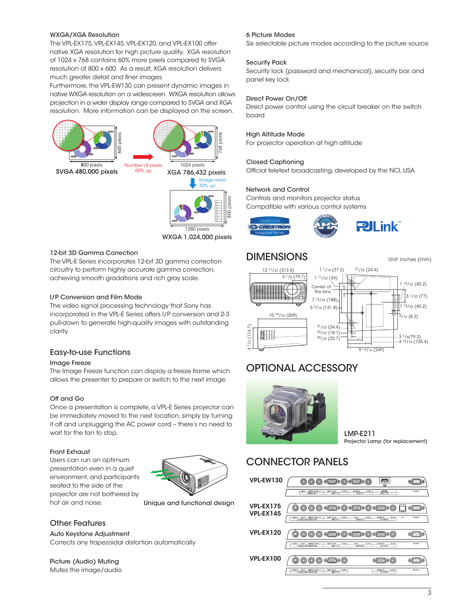#### WXGA/XGA Resolution

The VPL-EX175, VPL-EX145, VPL-EX120, and VPL-EX100 offer native XGA resolution for high picture quality. XGA resolution of 1024 x 768 contains 60% more pixels compared to SVGA resolution of 800 x 600. As a result, XGA resolution delivers much greater detail and finer images.

Furthermore, the VPL-EW130 can present dynamic images in native WXGA resolution on a widescreen. WXGA resolution allows projection in a wider display range compared to SVGA and XGA resolution. More information can be displayed on the screen.



1280 pixels 800 pixels

WXGA 1,024,000 pixels

#### 12-bit 3D Gamma Correction

The VPL-E Series incorporates 12-bit 3D gamma correction circuitry to perform highly accurate gamma correction, achieving smooth gradations and rich gray scale.

#### I/P Conversion and Film Mode

The video signal processing technology that Sony has incorporated in the VPL-E Series offers I/P conversion and 2-3 pull-down to generate high-quality images with outstanding clarity.

#### Easy-to-use Functions

#### Image Freeze

The Image Freeze function can display a freeze frame which allows the presenter to prepare or switch to the next image.

#### Off and Go

Once a presentation is complete, a VPL-E Series projector can be immediately moved to the next location, simply by turning it off and unplugging the AC power cord – there's no need to wait for the fan to stop.

#### Front Exhaust

Users can run an optimum presentation even in a quiet environment, and participants seated to the side of the projector are not bothered by hot air and noise.



Unique and functional design

### Other Features

Auto Keystone Adjustment Corrects any trapezoidal distortion automatically

Picture (Audio) Muting Mutes the image/audio

#### 6 Picture Modes

Six selectable picture modes according to the picture source

#### Security Pack

Security lock (password and mechanical), security bar, and panel key lock

#### Direct Power On/Off

Direct power control using the circuit breaker on the switch board

#### High Altitude Mode

For projector operation at high altitude

#### Closed Captioning

Official teletext broadcasting, developed by the NCI, USA

#### Network and Control

Controls and monitors projector status Compatible with various control systems





# DIMENSIONS Unit: inches (mm)



# OPTIONAL ACCESSORY



LMP-E211 Projector Lamp (for replacement)

# CONNECTOR PANELS